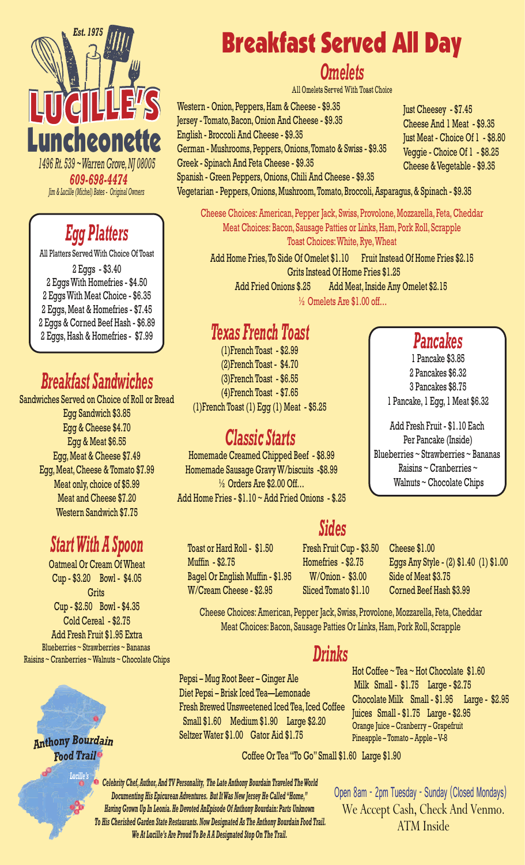

*609-698-4474 Jim & Lucille (Michel) Bates - Original Owners*

# *Egg Platters*

All Platters Served With Choice Of Toast

2 Eggs - \$3.40 2 Eggs With Homefries - \$4.50 2 Eggs With Meat Choice - \$6.35 2 Eggs, Meat & Homefries - \$7.45 2 Eggs & Corned Beef Hash - \$6.89 2 Eggs, Hash & Homefries - \$7.99

## *Breakfast Sandwiches*

Sandwiches Served on Choice of Roll or Bread Egg Sandwich \$3.85 Egg & Cheese \$4.70 Egg & Meat \$6.55 Egg, Meat & Cheese \$7.49 Egg, Meat, Cheese & Tomato \$7.99 Meat only, choice of \$5.99 Meat and Cheese \$7.20 Western Sandwich \$7.75

## *Start With A Spoon*

Oatmeal Or Cream Of Wheat Cup - \$3.20 Bowl - \$4.05 **Grits** Cup - \$2.50 Bowl - \$4.35 Cold Cereal - \$2.75 Add Fresh Fruit \$1.95 Extra Blueberries ~ Strawberries ~ Bananas Raisins ~ Cranberries ~ Walnuts ~ Chocolate Chips



**Anthony Bourdain Food Trail** 

*Lucille's*

# Breakfast Served All Day

#### *Omelets*

All Omelets Served With Toast Choice

Western - Onion, Peppers, Ham & Cheese - \$9.35 Jersey - Tomato, Bacon, Onion And Cheese - \$9.35 English - Broccoli And Cheese - \$9.35 German - Mushrooms, Peppers, Onions, Tomato & Swiss - \$9.35 Greek - Spinach And Feta Cheese - \$9.35

Spanish - Green Peppers, Onions, Chili And Cheese - \$9.35 Vegetarian - Peppers, Onions, Mushroom, Tomato, Broccoli, Asparagus, & Spinach - \$9.35

Cheese Choices: American, Pepper Jack, Swiss, Provolone, Mozzarella, Feta, Cheddar Meat Choices: Bacon, Sausage Patties or Links, Ham, Pork Roll, Scrapple Toast Choices: White, Rye, Wheat

Add Home Fries, To Side Of Omelet \$1.10 Fruit Instead Of Home Fries \$2.15 Grits Instead Of Home Fries \$1.25 Add Fried Onions \$.25 Add Meat, Inside Any Omelet \$2.15

½ Omelets Are \$1.00 off…

#### *Texas French Toast*

(1)French Toast - \$2.99 (2)French Toast - \$4.70 (3)French Toast - \$6.55 (4)French Toast - \$7.65 (1)French Toast  $(1)$  Egg  $(1)$  Meat - \$5.25

#### *Classic Starts*

Homemade Creamed Chipped Beef - \$8.99 Homemade Sausage Gravy W/biscuits -\$8.99  $\frac{1}{2}$  Orders Are \$2.00 Off... Add Home Fries - \$1.10 ~ Add Fried Onions - \$.25

Toast or Hard Roll - \$1.50 Muffin - \$2.75 Bagel Or English Muffin - \$1.95 W/Cream Cheese - \$2.95

Fresh Fruit Cup - \$3.50 Homefries - \$2.75 W/Onion - \$3.00 Sliced Tomato \$1.10

Cheese \$1.00 Eggs Any Style - (2) \$1.40 (1) \$1.00 Side of Meat \$3.75 Corned Beef Hash \$3.99

Cheese Choices: American, Pepper Jack, Swiss, Provolone, Mozzarella, Feta, Cheddar Meat Choices: Bacon, Sausage Patties Or Links, Ham, Pork Roll, Scrapple

#### *Drinks*

Pepsi – Mug Root Beer – Ginger Ale Diet Pepsi – Brisk Iced Tea—Lemonade Fresh Brewed Unsweetened Iced Tea, Iced Coffee Small \$1.60 Medium \$1.90 Large \$2.20 Seltzer Water \$1.00 Gator Aid \$1.75

Coffee Or Tea "To Go" Small \$1.60 Large \$1.90

*Celebrity Chef, Author, And TV Personality, The Late Anthony Bourdain Traveled The World Documenting His Epicurean Adventures. But It Was New Jersey He Called "Home," Having Grown Up In Leonia. He Devoted AnEpisode Of Anthony Bourdain: Parts Unknown To His Cherished Garden State Restaurants. Now Designated As The Anthony Bourdain Food Trail. We At Lucille's Are Proud To Be A A Designated Stop On The Trail.* 

We Accept Cash, Check And Venmo. ATM Inside Open 8am - 2pm Tuesday - Sunday (Closed Mondays)

Hot Coffee ~ Tea ~ Hot Chocolate \$1.60 Milk Small - \$1.75 Large - \$2.75

Juices Small - \$1.75 Large - \$2.95 Orange Juice – Cranberry – Grapefruit Pineapple – Tomato – Apple – V-8

Chocolate Milk Small - \$1.95 Large - \$2.95

Just Cheesey - \$7.45 Cheese And 1 Meat - \$9.35 Just Meat - Choice Of 1 - \$8.80 Veggie - Choice Of 1 - \$8.25 Cheese & Vegetable - \$9.35

*Pancakes*

1 Pancake \$3.85 2 Pancakes \$6.32 3 Pancakes \$8.75 1 Pancake, 1 Egg, 1 Meat \$6.32

Add Fresh Fruit - \$1.10 Each Per Pancake (Inside) Blueberries ~ Strawberries ~ Bananas

Raisins ~ Cranberries ~ Walnuts ~ Chocolate Chips

# *Sides*